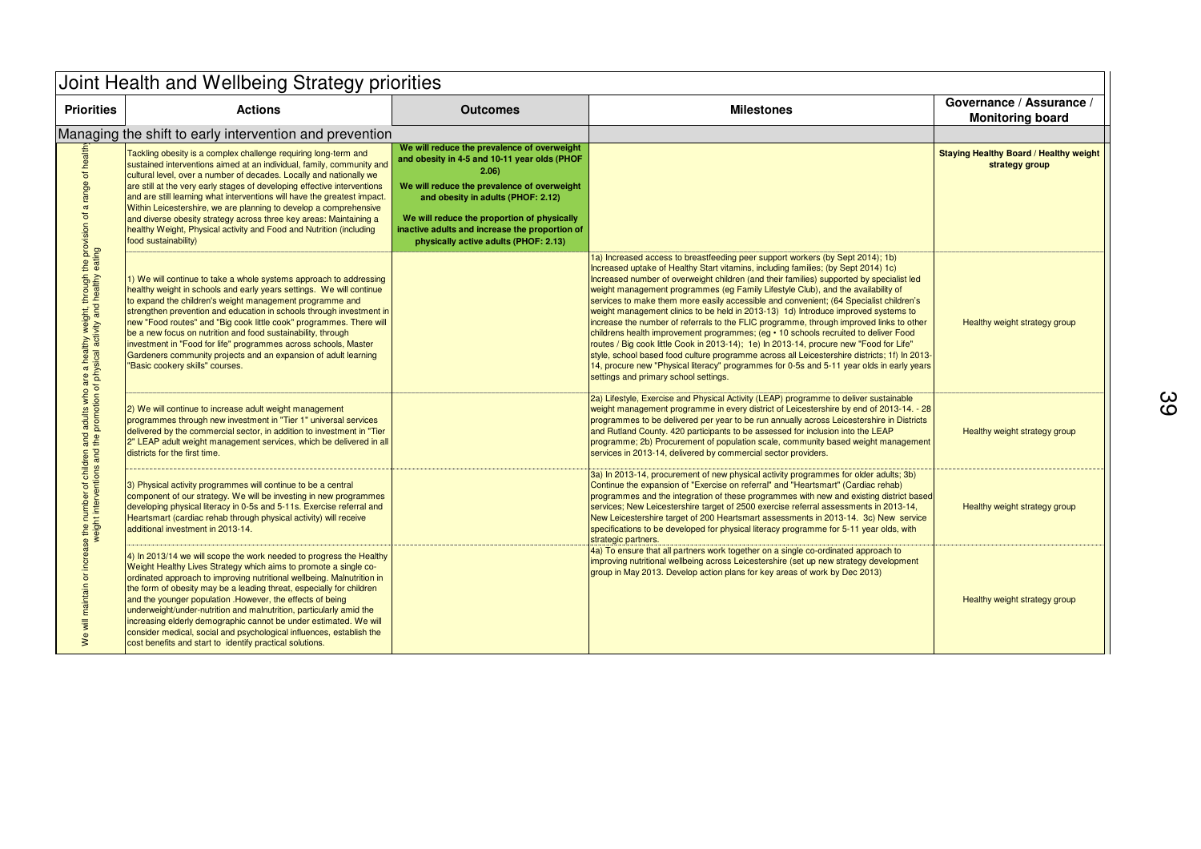| Joint Health and Wellbeing Strategy priorities                                                                                                                                                                                                                                              |                                                                                                                                                                                                                                                                                                                                                                                                                                                                                                                                                                                                                                        |                                                                                                                                                                                                                                                                                                                                    |                                                                                                                                                                                                                                                                                                                                                                                                                                                                                                                                                                                                                                                                                                                                                                                                                                                                                                                                                                                                                                                        |                                                                 |
|---------------------------------------------------------------------------------------------------------------------------------------------------------------------------------------------------------------------------------------------------------------------------------------------|----------------------------------------------------------------------------------------------------------------------------------------------------------------------------------------------------------------------------------------------------------------------------------------------------------------------------------------------------------------------------------------------------------------------------------------------------------------------------------------------------------------------------------------------------------------------------------------------------------------------------------------|------------------------------------------------------------------------------------------------------------------------------------------------------------------------------------------------------------------------------------------------------------------------------------------------------------------------------------|--------------------------------------------------------------------------------------------------------------------------------------------------------------------------------------------------------------------------------------------------------------------------------------------------------------------------------------------------------------------------------------------------------------------------------------------------------------------------------------------------------------------------------------------------------------------------------------------------------------------------------------------------------------------------------------------------------------------------------------------------------------------------------------------------------------------------------------------------------------------------------------------------------------------------------------------------------------------------------------------------------------------------------------------------------|-----------------------------------------------------------------|
| <b>Priorities</b>                                                                                                                                                                                                                                                                           | <b>Actions</b>                                                                                                                                                                                                                                                                                                                                                                                                                                                                                                                                                                                                                         | <b>Outcomes</b>                                                                                                                                                                                                                                                                                                                    | <b>Milestones</b>                                                                                                                                                                                                                                                                                                                                                                                                                                                                                                                                                                                                                                                                                                                                                                                                                                                                                                                                                                                                                                      | Governance / Assurance /<br><b>Monitoring board</b>             |
|                                                                                                                                                                                                                                                                                             | Managing the shift to early intervention and prevention                                                                                                                                                                                                                                                                                                                                                                                                                                                                                                                                                                                |                                                                                                                                                                                                                                                                                                                                    |                                                                                                                                                                                                                                                                                                                                                                                                                                                                                                                                                                                                                                                                                                                                                                                                                                                                                                                                                                                                                                                        |                                                                 |
| of health<br>range<br>$\, \varpi \,$<br>maintain or increase the number of children and adults who are a healthy weight, through the provision of<br>weight interesting the weight interventions and the promotion of physical activity and healthy eating<br>$\overline{\mathbf{v}}$<br>we | Tackling obesity is a complex challenge requiring long-term and<br>sustained interventions aimed at an individual, family, community and<br>cultural level, over a number of decades. Locally and nationally we<br>are still at the very early stages of developing effective interventions<br>and are still learning what interventions will have the greatest impact.<br>Within Leicestershire, we are planning to develop a comprehensive<br>and diverse obesity strategy across three key areas: Maintaining a<br>healthy Weight, Physical activity and Food and Nutrition (including<br>food sustainability)                      | We will reduce the prevalence of overweight<br>and obesity in 4-5 and 10-11 year olds (PHOF<br>2.06<br>We will reduce the prevalence of overweight<br>and obesity in adults (PHOF: 2.12)<br>We will reduce the proportion of physically<br>inactive adults and increase the proportion of<br>physically active adults (PHOF: 2.13) |                                                                                                                                                                                                                                                                                                                                                                                                                                                                                                                                                                                                                                                                                                                                                                                                                                                                                                                                                                                                                                                        | <b>Staying Healthy Board / Healthy weight</b><br>strategy group |
|                                                                                                                                                                                                                                                                                             | $\vert$ 1) We will continue to take a whole systems approach to addressing<br>healthy weight in schools and early years settings. We will continue<br>to expand the children's weight management programme and<br>strengthen prevention and education in schools through investment in<br>new "Food routes" and "Big cook little cook" programmes. There will<br>be a new focus on nutrition and food sustainability, through<br>investment in "Food for life" programmes across schools, Master<br>Gardeners community projects and an expansion of adult learning<br>"Basic cookery skills" courses.                                 |                                                                                                                                                                                                                                                                                                                                    | 1a) Increased access to breastfeeding peer support workers (by Sept 2014); 1b)<br>Increased uptake of Healthy Start vitamins, including families; (by Sept 2014) 1c)<br>Increased number of overweight children (and their families) supported by specialist led<br>weight management programmes (eg Family Lifestyle Club), and the availability of<br>services to make them more easily accessible and convenient; (64 Specialist children's<br>weight management clinics to be held in 2013-13) 1d) Introduce improved systems to<br>increase the number of referrals to the FLIC programme, through improved links to other<br>childrens health improvement programmes; (eg • 10 schools recruited to deliver Food<br>routes / Big cook little Cook in 2013-14); 1e) In 2013-14, procure new "Food for Life"<br>style, school based food culture programme across all Leicestershire districts; 1f) In 2013-<br>14, procure new "Physical literacy" programmes for 0-5s and 5-11 year olds in early years<br>settings and primary school settings. | Healthy weight strategy group                                   |
|                                                                                                                                                                                                                                                                                             | 2) We will continue to increase adult weight management<br>programmes through new investment in "Tier 1" universal services<br>delivered by the commercial sector, in addition to investment in "Tier<br>2" LEAP adult weight management services, which be delivered in all<br>districts for the first time.                                                                                                                                                                                                                                                                                                                          |                                                                                                                                                                                                                                                                                                                                    | 2a) Lifestyle, Exercise and Physical Activity (LEAP) programme to deliver sustainable<br>weight management programme in every district of Leicestershire by end of 2013-14. - 28<br>programmes to be delivered per year to be run annually across Leicestershire in Districts<br>and Rutland County. 420 participants to be assessed for inclusion into the LEAP<br>programme; 2b) Procurement of population scale, community based weight management<br>services in 2013-14, delivered by commercial sector providers.                                                                                                                                                                                                                                                                                                                                                                                                                                                                                                                                | Healthy weight strategy group                                   |
|                                                                                                                                                                                                                                                                                             | 3) Physical activity programmes will continue to be a central<br>component of our strategy. We will be investing in new programmes<br>developing physical literacy in 0-5s and 5-11s. Exercise referral and<br>Heartsmart (cardiac rehab through physical activity) will receive<br>additional investment in 2013-14.                                                                                                                                                                                                                                                                                                                  |                                                                                                                                                                                                                                                                                                                                    | 3a) In 2013-14, procurement of new physical activity programmes for older adults; 3b)<br>Continue the expansion of "Exercise on referral" and "Heartsmart" (Cardiac rehab)<br>programmes and the integration of these programmes with new and existing district based<br>services; New Leicestershire target of 2500 exercise referral assessments in 2013-14,<br>New Leicestershire target of 200 Heartsmart assessments in 2013-14. 3c) New service<br>specifications to be developed for physical literacy programme for 5-11 year olds, with<br>strategic partners.                                                                                                                                                                                                                                                                                                                                                                                                                                                                                | Healthy weight strategy group                                   |
|                                                                                                                                                                                                                                                                                             | 4) In 2013/14 we will scope the work needed to progress the Healthy<br>Weight Healthy Lives Strategy which aims to promote a single co-<br>ordinated approach to improving nutritional wellbeing. Malnutrition in<br>the form of obesity may be a leading threat, especially for children<br>and the younger population .However, the effects of being<br>underweight/under-nutrition and malnutrition, particularly amid the<br>increasing elderly demographic cannot be under estimated. We will<br>consider medical, social and psychological influences, establish the<br>cost benefits and start to identify practical solutions. |                                                                                                                                                                                                                                                                                                                                    | 4a) To ensure that all partners work together on a single co-ordinated approach to<br>improving nutritional wellbeing across Leicestershire (set up new strategy development<br>group in May 2013. Develop action plans for key areas of work by Dec 2013)                                                                                                                                                                                                                                                                                                                                                                                                                                                                                                                                                                                                                                                                                                                                                                                             | Healthy weight strategy group                                   |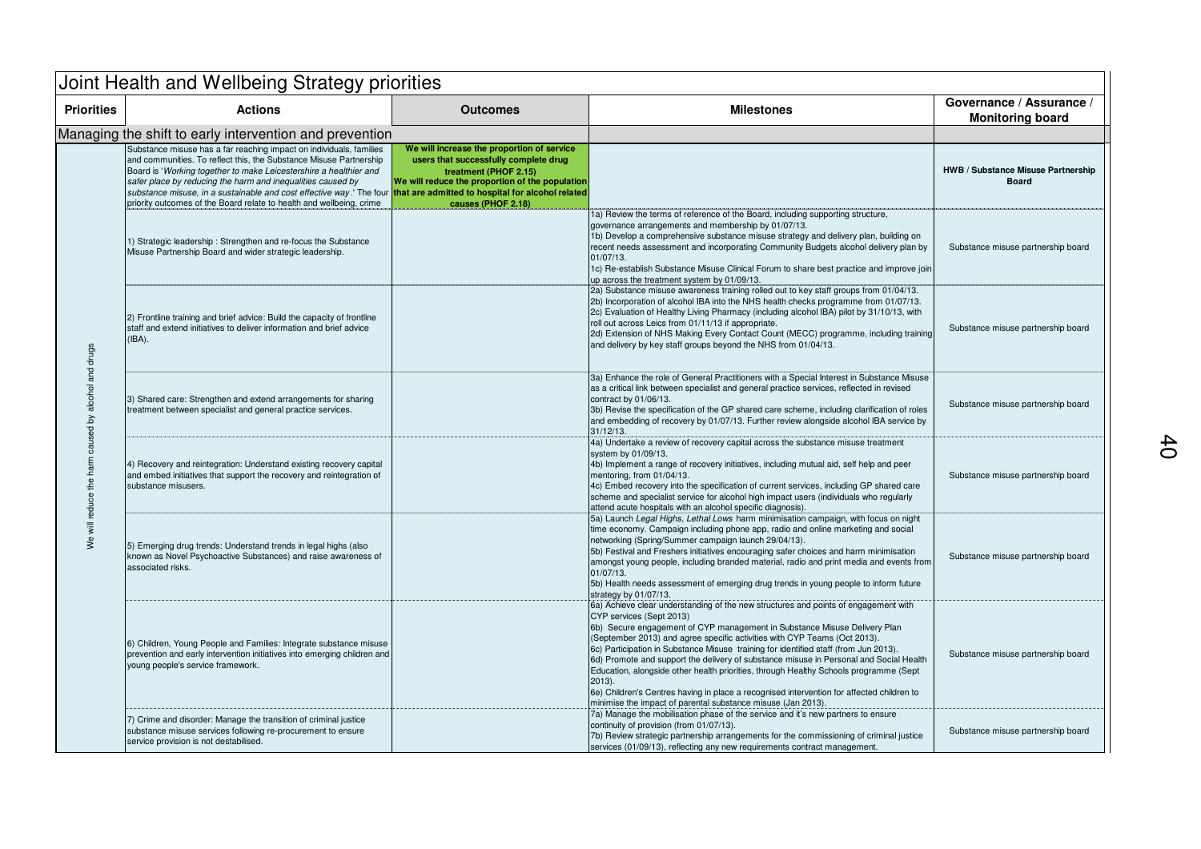|                                                     | Joint Health and Wellbeing Strategy priorities                                                                                                                                                                                                                                                                                                                                                                                                                                  |                                                                                                                                                                                       |                                                                                                                                                                                                                                                                                                                                                                                                                                                                                                                                                                                                                                                                                                                                |                                                     |  |
|-----------------------------------------------------|---------------------------------------------------------------------------------------------------------------------------------------------------------------------------------------------------------------------------------------------------------------------------------------------------------------------------------------------------------------------------------------------------------------------------------------------------------------------------------|---------------------------------------------------------------------------------------------------------------------------------------------------------------------------------------|--------------------------------------------------------------------------------------------------------------------------------------------------------------------------------------------------------------------------------------------------------------------------------------------------------------------------------------------------------------------------------------------------------------------------------------------------------------------------------------------------------------------------------------------------------------------------------------------------------------------------------------------------------------------------------------------------------------------------------|-----------------------------------------------------|--|
| <b>Priorities</b>                                   | <b>Actions</b>                                                                                                                                                                                                                                                                                                                                                                                                                                                                  | <b>Outcomes</b>                                                                                                                                                                       | <b>Milestones</b>                                                                                                                                                                                                                                                                                                                                                                                                                                                                                                                                                                                                                                                                                                              | Governance / Assurance /<br><b>Monitoring board</b> |  |
|                                                     | Managing the shift to early intervention and prevention                                                                                                                                                                                                                                                                                                                                                                                                                         |                                                                                                                                                                                       |                                                                                                                                                                                                                                                                                                                                                                                                                                                                                                                                                                                                                                                                                                                                |                                                     |  |
|                                                     | Substance misuse has a far reaching impact on individuals, families<br>and communities. To reflect this, the Substance Misuse Partnership<br>Board is 'Working together to make Leicestershire a healthier and<br>safer place by reducing the harm and inequalities caused by<br>substance misuse, in a sustainable and cost effective way.' The four that are admitted to hospital for alcohol related<br>priority outcomes of the Board relate to health and wellbeing, crime | We will increase the proportion of service<br>users that successfully complete drug<br>treatment (PHOF 2.15)<br>We will reduce the proportion of the population<br>causes (PHOF 2.18) |                                                                                                                                                                                                                                                                                                                                                                                                                                                                                                                                                                                                                                                                                                                                | HWB / Substance Misuse Partnership<br><b>Board</b>  |  |
| We will reduce the harm caused by alcohol and drugs | 1) Strategic leadership: Strengthen and re-focus the Substance<br>Misuse Partnership Board and wider strategic leadership.                                                                                                                                                                                                                                                                                                                                                      |                                                                                                                                                                                       | 1a) Review the terms of reference of the Board, including supporting structure,<br>governance arrangements and membership by 01/07/13.<br>1b) Develop a comprehensive substance misuse strategy and delivery plan, building on<br>recent needs assessment and incorporating Community Budgets alcohol delivery plan by<br>01/07/13.<br>1c) Re-establish Substance Misuse Clinical Forum to share best practice and improve join<br>up across the treatment system by 01/09/13.                                                                                                                                                                                                                                                 | Substance misuse partnership board                  |  |
|                                                     | 2) Frontline training and brief advice: Build the capacity of frontline<br>staff and extend initiatives to deliver information and brief advice<br>$(IBA)$ .                                                                                                                                                                                                                                                                                                                    |                                                                                                                                                                                       | 2a) Substance misuse awareness training rolled out to key staff groups from 01/04/13.<br>(2b) Incorporation of alcohol IBA into the NHS health checks programme from 01/07/13.<br>2c) Evaluation of Healthy Living Pharmacy (including alcohol IBA) pilot by 31/10/13, with<br>roll out across Leics from 01/11/13 if appropriate.<br>2d) Extension of NHS Making Every Contact Count (MECC) programme, including training<br>and delivery by key staff groups beyond the NHS from 01/04/13.                                                                                                                                                                                                                                   | Substance misuse partnership board                  |  |
|                                                     | 3) Shared care: Strengthen and extend arrangements for sharing<br>treatment between specialist and general practice services.                                                                                                                                                                                                                                                                                                                                                   |                                                                                                                                                                                       | 3a) Enhance the role of General Practitioners with a Special Interest in Substance Misuse<br>as a critical link between specialist and general practice services, reflected in revised<br>contract by 01/06/13.<br>3b) Revise the specification of the GP shared care scheme, including clarification of roles<br>and embedding of recovery by 01/07/13. Further review alongside alcohol IBA service by<br>31/12/13.                                                                                                                                                                                                                                                                                                          | Substance misuse partnership board                  |  |
|                                                     | 4) Recovery and reintegration: Understand existing recovery capital<br>and embed initiatives that support the recovery and reintegration of<br>substance misusers.                                                                                                                                                                                                                                                                                                              |                                                                                                                                                                                       | 4a) Undertake a review of recovery capital across the substance misuse treatment<br>system by 01/09/13.<br>4b) Implement a range of recovery initiatives, including mutual aid, self help and peer<br>mentoring, from 01/04/13.<br>4c) Embed recovery into the specification of current services, including GP shared care<br>scheme and specialist service for alcohol high impact users (individuals who regularly<br>attend acute hospitals with an alcohol specific diagnosis).                                                                                                                                                                                                                                            | Substance misuse partnership board                  |  |
|                                                     | 5) Emerging drug trends: Understand trends in legal highs (also<br>known as Novel Psychoactive Substances) and raise awareness of<br>associated risks.                                                                                                                                                                                                                                                                                                                          |                                                                                                                                                                                       | 5a) Launch Legal Highs, Lethal Lows harm minimisation campaign, with focus on night<br>time economy. Campaign including phone app, radio and online marketing and social<br>networking (Spring/Summer campaign launch 29/04/13).<br>5b) Festival and Freshers initiatives encouraging safer choices and harm minimisation<br>amongst young people, including branded material, radio and print media and events from<br>01/07/13.<br>5b) Health needs assessment of emerging drug trends in young people to inform future<br>strategy by 01/07/13.                                                                                                                                                                             | Substance misuse partnership board                  |  |
|                                                     | 6) Children, Young People and Families: Integrate substance misuse<br>prevention and early intervention initiatives into emerging children and<br>young people's service framework.                                                                                                                                                                                                                                                                                             |                                                                                                                                                                                       | 6a) Achieve clear understanding of the new structures and points of engagement with<br>CYP services (Sept 2013)<br>6b) Secure engagement of CYP management in Substance Misuse Delivery Plan<br>(September 2013) and agree specific activities with CYP Teams (Oct 2013).<br>6c) Participation in Substance Misuse training for identified staff (from Jun 2013).<br>6d) Promote and support the delivery of substance misuse in Personal and Social Health<br>Education, alongside other health priorities, through Healthy Schools programme (Sept<br>$2013$ ).<br>6e) Children's Centres having in place a recognised intervention for affected children to<br>minimise the impact of parental substance misuse (Jan 2013). | Substance misuse partnership board                  |  |
|                                                     | 7) Crime and disorder: Manage the transition of criminal justice<br>substance misuse services following re-procurement to ensure<br>service provision is not destabilised.                                                                                                                                                                                                                                                                                                      |                                                                                                                                                                                       | 7a) Manage the mobilisation phase of the service and it's new partners to ensure<br>continuity of provision (from 01/07/13).<br>7b) Review strategic partnership arrangements for the commissioning of criminal justice<br>services (01/09/13), reflecting any new requirements contract management.                                                                                                                                                                                                                                                                                                                                                                                                                           | Substance misuse partnership board                  |  |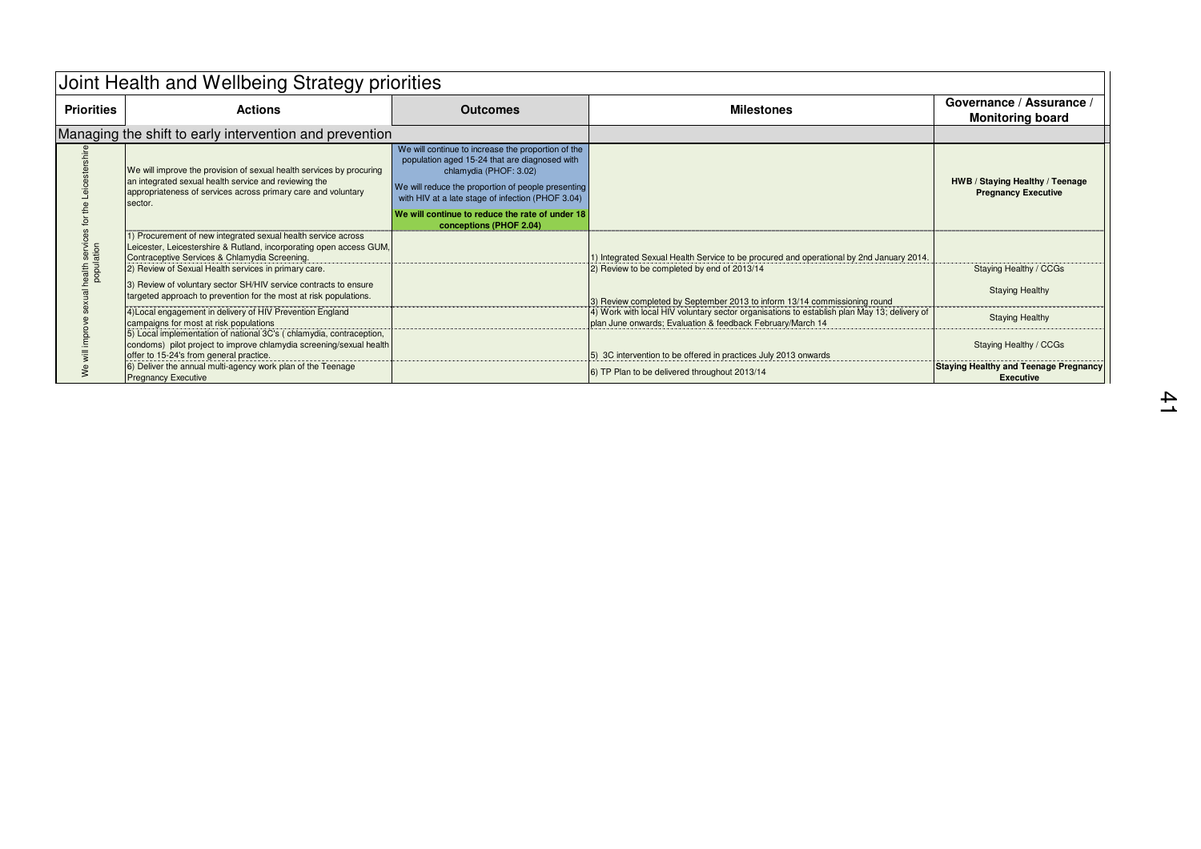| Joint Health and Wellbeing Strategy priorities |                                                                                                                                                                                                                                                |                                                                                                                                                                                                                                                                                                                        |                                                                                                                                                           |                                                                  |  |
|------------------------------------------------|------------------------------------------------------------------------------------------------------------------------------------------------------------------------------------------------------------------------------------------------|------------------------------------------------------------------------------------------------------------------------------------------------------------------------------------------------------------------------------------------------------------------------------------------------------------------------|-----------------------------------------------------------------------------------------------------------------------------------------------------------|------------------------------------------------------------------|--|
| <b>Priorities</b>                              | <b>Actions</b>                                                                                                                                                                                                                                 | <b>Outcomes</b>                                                                                                                                                                                                                                                                                                        | <b>Milestones</b>                                                                                                                                         | Governance / Assurance /<br><b>Monitoring board</b>              |  |
|                                                | Managing the shift to early intervention and prevention                                                                                                                                                                                        |                                                                                                                                                                                                                                                                                                                        |                                                                                                                                                           |                                                                  |  |
| nealth service                                 | We will improve the provision of sexual health services by procuring<br>an integrated sexual health service and reviewing the<br>appropriateness of services across primary care and voluntary<br>sector.                                      | We will continue to increase the proportion of the<br>population aged 15-24 that are diagnosed with<br>chlamydia (PHOF: 3.02)<br>We will reduce the proportion of people presenting<br>with HIV at a late stage of infection (PHOF 3.04)<br>We will continue to reduce the rate of under 18<br>conceptions (PHOF 2.04) |                                                                                                                                                           | HWB / Staying Healthy / Teenage<br><b>Pregnancy Executive</b>    |  |
|                                                | 1) Procurement of new integrated sexual health service across<br>Leicester, Leicestershire & Rutland, incorporating open access GUM,<br>Contraceptive Services & Chlamydia Screening.<br>(2) Review of Sexual Health services in primary care. |                                                                                                                                                                                                                                                                                                                        | 1) Integrated Sexual Health Service to be procured and operational by 2nd January 2014.<br>2) Review to be completed by end of 2013/14                    | Staying Healthy / CCGs                                           |  |
|                                                | 3) Review of voluntary sector SH/HIV service contracts to ensure<br>targeted approach to prevention for the most at risk populations.                                                                                                          |                                                                                                                                                                                                                                                                                                                        | 3) Review completed by September 2013 to inform 13/14 commissioning round                                                                                 | <b>Staying Healthy</b>                                           |  |
|                                                | 4) Local engagement in delivery of HIV Prevention England<br>campaigns for most at risk populations                                                                                                                                            |                                                                                                                                                                                                                                                                                                                        | 4) Work with local HIV voluntary sector organisations to establish plan May 13; delivery of<br>plan June onwards; Evaluation & feedback February/March 14 | <b>Staying Healthy</b>                                           |  |
|                                                | 5) Local implementation of national 3C's (chlamydia, contraception,<br>condoms) pilot project to improve chlamydia screening/sexual health<br>offer to 15-24's from general practice.                                                          |                                                                                                                                                                                                                                                                                                                        | [5] 3C intervention to be offered in practices July 2013 onwards                                                                                          | Staying Healthy / CCGs                                           |  |
|                                                | 6) Deliver the annual multi-agency work plan of the Teenage<br><b>Pregnancy Executive</b>                                                                                                                                                      |                                                                                                                                                                                                                                                                                                                        | 6) TP Plan to be delivered throughout 2013/14                                                                                                             | <b>Staying Healthy and Teenage Pregnancy</b><br><b>Executive</b> |  |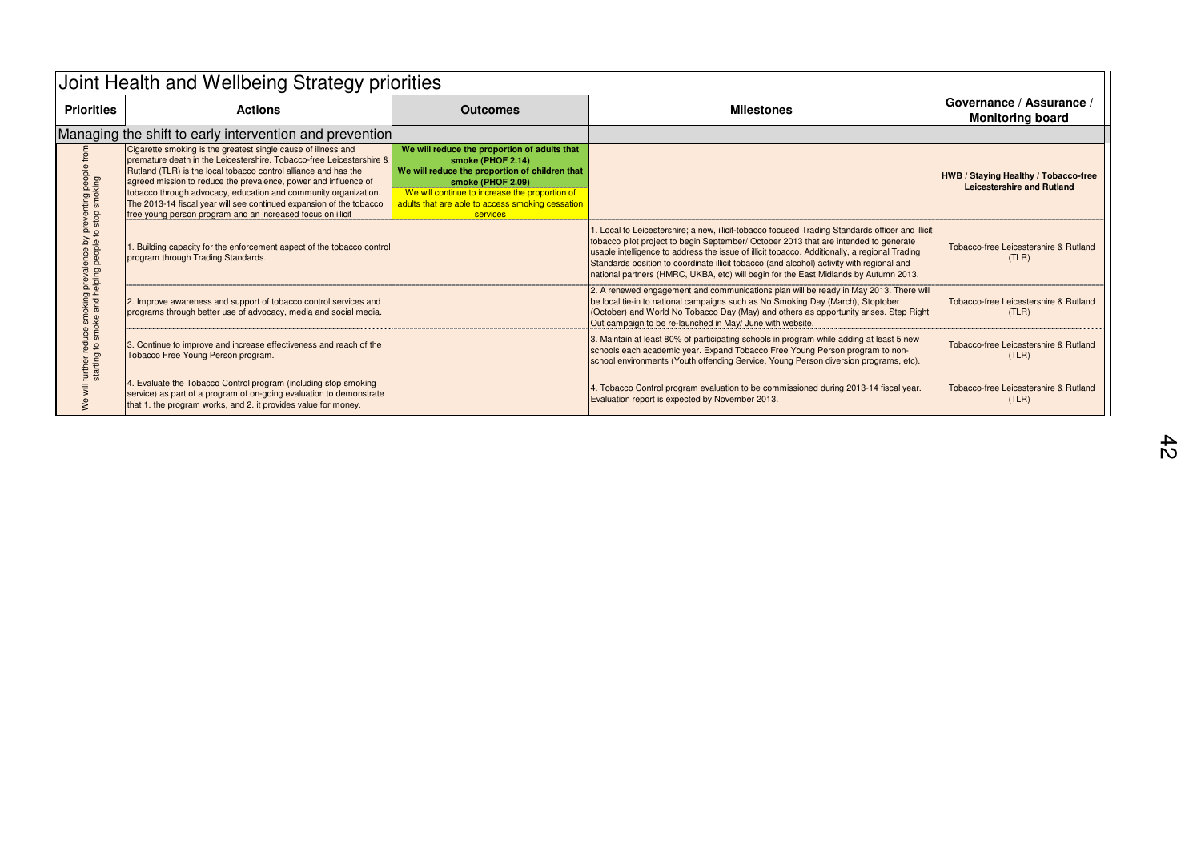| Joint Health and Wellbeing Strategy priorities                                                                                          |                                                                                                                                                                                                                                                                                                                                                                                                                                                                                      |                                                                                                                                                                                                                                                            |                                                                                                                                                                                                                                                                                                                                                                                                                                                                                |                                                                    |
|-----------------------------------------------------------------------------------------------------------------------------------------|--------------------------------------------------------------------------------------------------------------------------------------------------------------------------------------------------------------------------------------------------------------------------------------------------------------------------------------------------------------------------------------------------------------------------------------------------------------------------------------|------------------------------------------------------------------------------------------------------------------------------------------------------------------------------------------------------------------------------------------------------------|--------------------------------------------------------------------------------------------------------------------------------------------------------------------------------------------------------------------------------------------------------------------------------------------------------------------------------------------------------------------------------------------------------------------------------------------------------------------------------|--------------------------------------------------------------------|
| <b>Priorities</b>                                                                                                                       | <b>Actions</b>                                                                                                                                                                                                                                                                                                                                                                                                                                                                       | <b>Outcomes</b>                                                                                                                                                                                                                                            | <b>Milestones</b>                                                                                                                                                                                                                                                                                                                                                                                                                                                              | Governance / Assurance /<br><b>Monitoring board</b>                |
|                                                                                                                                         | Managing the shift to early intervention and prevention                                                                                                                                                                                                                                                                                                                                                                                                                              |                                                                                                                                                                                                                                                            |                                                                                                                                                                                                                                                                                                                                                                                                                                                                                |                                                                    |
| trom<br>preventing people<br>to stop smoking<br>uce smoking prevalence by<br>smoke and helping people t<br>요 S<br>further r<br>starting | Cigarette smoking is the greatest single cause of illness and<br>premature death in the Leicestershire. Tobacco-free Leicestershire &<br>Rutland (TLR) is the local tobacco control alliance and has the<br>agreed mission to reduce the prevalence, power and influence of<br>tobacco through advocacy, education and community organization.<br>The 2013-14 fiscal year will see continued expansion of the tobacco<br>free young person program and an increased focus on illicit | We will reduce the proportion of adults that<br>smoke (PHOF 2.14)<br>We will reduce the proportion of children that<br>smoke (PHOF 2.09)<br>We will continue to increase the proportion of<br>adults that are able to access smoking cessation<br>services |                                                                                                                                                                                                                                                                                                                                                                                                                                                                                | HWB / Staying Healthy / Tobacco-free<br>Leicestershire and Rutland |
|                                                                                                                                         | Building capacity for the enforcement aspect of the tobacco control<br>program through Trading Standards.                                                                                                                                                                                                                                                                                                                                                                            |                                                                                                                                                                                                                                                            | 1. Local to Leicestershire; a new, illicit-tobacco focused Trading Standards officer and illicit<br>tobacco pilot project to begin September/ October 2013 that are intended to generate<br>usable intelligence to address the issue of illicit tobacco. Additionally, a regional Trading<br>Standards position to coordinate illicit tobacco (and alcohol) activity with regional and<br>national partners (HMRC, UKBA, etc) will begin for the East Midlands by Autumn 2013. | Tobacco-free Leicestershire & Rutland<br>(TLR)                     |
|                                                                                                                                         | 2. Improve awareness and support of tobacco control services and<br>programs through better use of advocacy, media and social media.                                                                                                                                                                                                                                                                                                                                                 |                                                                                                                                                                                                                                                            | 2. A renewed engagement and communications plan will be ready in May 2013. There will<br>be local tie-in to national campaigns such as No Smoking Day (March), Stoptober<br>(October) and World No Tobacco Day (May) and others as opportunity arises. Step Right<br>Out campaign to be re-launched in May/ June with website.                                                                                                                                                 | Tobacco-free Leicestershire & Rutland<br>(TLR)                     |
|                                                                                                                                         | 3. Continue to improve and increase effectiveness and reach of the<br>Tobacco Free Young Person program.                                                                                                                                                                                                                                                                                                                                                                             |                                                                                                                                                                                                                                                            | 3. Maintain at least 80% of participating schools in program while adding at least 5 new<br>schools each academic year. Expand Tobacco Free Young Person program to non-<br>school environments (Youth offending Service, Young Person diversion programs, etc).                                                                                                                                                                                                               | Tobacco-free Leicestershire & Rutland<br>(TLR)                     |
|                                                                                                                                         | 4. Evaluate the Tobacco Control program (including stop smoking<br>service) as part of a program of on-going evaluation to demonstrate<br>that 1. the program works, and 2. it provides value for money.                                                                                                                                                                                                                                                                             |                                                                                                                                                                                                                                                            | 4. Tobacco Control program evaluation to be commissioned during 2013-14 fiscal year.<br>Evaluation report is expected by November 2013.                                                                                                                                                                                                                                                                                                                                        | Tobacco-free Leicestershire & Rutland<br>(TLR)                     |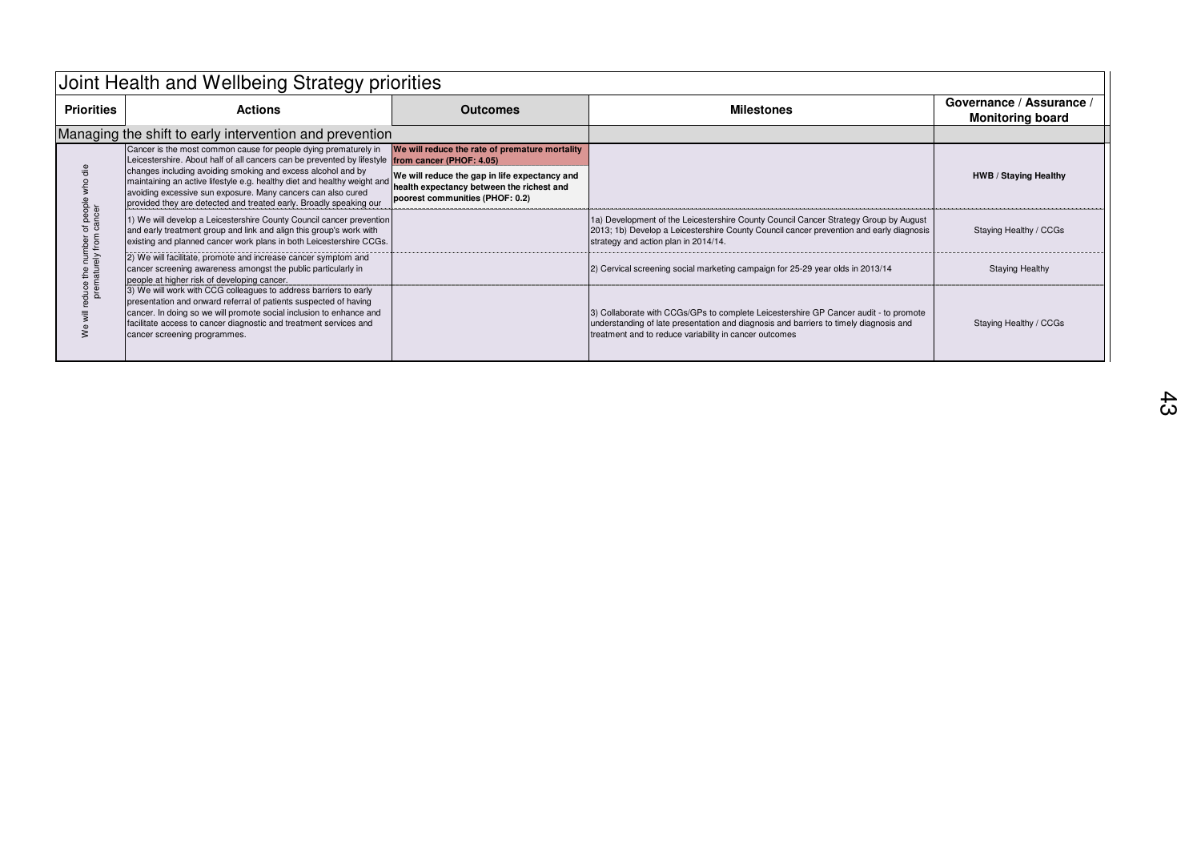| Joint Health and Wellbeing Strategy priorities      |                                                                                                                                                                                                                                                                                                                   |                                                                                                                               |                                                                                                                                                                                                                                         |                                                     |
|-----------------------------------------------------|-------------------------------------------------------------------------------------------------------------------------------------------------------------------------------------------------------------------------------------------------------------------------------------------------------------------|-------------------------------------------------------------------------------------------------------------------------------|-----------------------------------------------------------------------------------------------------------------------------------------------------------------------------------------------------------------------------------------|-----------------------------------------------------|
| <b>Priorities</b>                                   | <b>Actions</b>                                                                                                                                                                                                                                                                                                    | <b>Outcomes</b>                                                                                                               | <b>Milestones</b>                                                                                                                                                                                                                       | Governance / Assurance /<br><b>Monitoring board</b> |
|                                                     | Managing the shift to early intervention and prevention                                                                                                                                                                                                                                                           |                                                                                                                               |                                                                                                                                                                                                                                         |                                                     |
| luce the number of peopl<br>prematurely from cancer | Cancer is the most common cause for people dying prematurely in<br>Leicestershire. About half of all cancers can be prevented by lifestyle <b>from cancer (PHOF: 4.05)</b>                                                                                                                                        | We will reduce the rate of premature mortality                                                                                |                                                                                                                                                                                                                                         |                                                     |
|                                                     | changes including avoiding smoking and excess alcohol and by<br>maintaining an active lifestyle e.g. healthy diet and healthy weight and<br>avoiding excessive sun exposure. Many cancers can also cured<br>provided they are detected and treated early. Broadly speaking our                                    | We will reduce the gap in life expectancy and<br>health expectancy between the richest and<br>poorest communities (PHOF: 0.2) |                                                                                                                                                                                                                                         | HWB / Staying Healthy                               |
|                                                     | 1) We will develop a Leicestershire County Council cancer prevention<br>and early treatment group and link and align this group's work with<br>existing and planned cancer work plans in both Leicestershire CCGs.                                                                                                |                                                                                                                               | 1a) Development of the Leicestershire County Council Cancer Strategy Group by August<br>2013; 1b) Develop a Leicestershire County Council cancer prevention and early diagnosis<br>strategy and action plan in 2014/14.                 | Staying Healthy / CCGs                              |
|                                                     | 2) We will facilitate, promote and increase cancer symptom and<br>cancer screening awareness amongst the public particularly in<br>people at higher risk of developing cancer.                                                                                                                                    |                                                                                                                               | 2) Cervical screening social marketing campaign for 25-29 year olds in 2013/14                                                                                                                                                          | <b>Staying Healthy</b>                              |
|                                                     | [3) We will work with CCG colleagues to address barriers to early<br>presentation and onward referral of patients suspected of having<br>cancer. In doing so we will promote social inclusion to enhance and<br>facilitate access to cancer diagnostic and treatment services and<br>cancer screening programmes. |                                                                                                                               | 3) Collaborate with CCGs/GPs to complete Leicestershire GP Cancer audit - to promote<br>understanding of late presentation and diagnosis and barriers to timely diagnosis and<br>treatment and to reduce variability in cancer outcomes | Staying Healthy / CCGs                              |